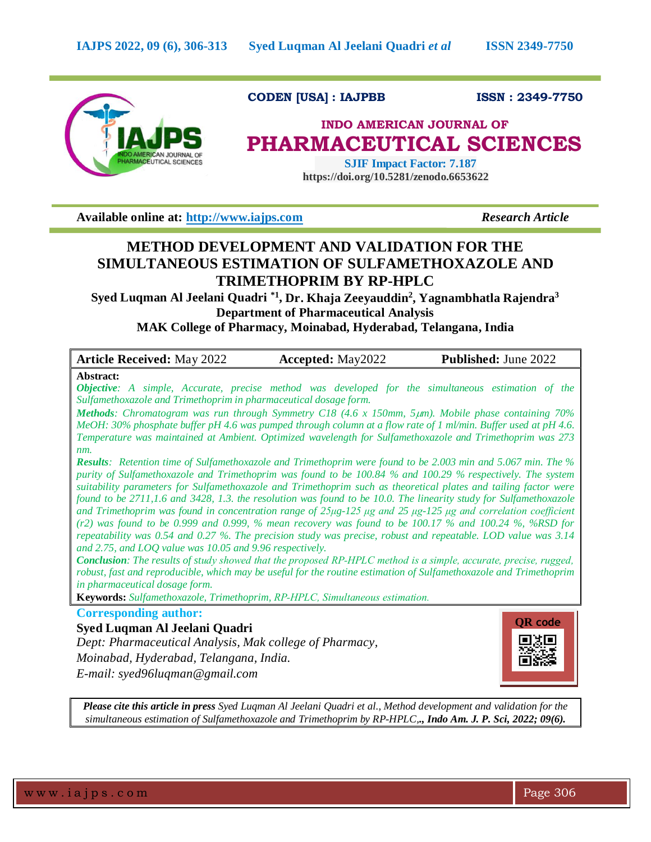

**CODEN [USA] : IAJPBB ISSN : 2349-7750**

# **INDO AMERICAN JOURNAL OF PHARMACEUTICAL SCIENCES**

 **SJIF Impact Factor: 7.187 https://doi.org/10.5281/zenodo.6653622** 

**Available online at: [http://www.iajps.com](http://www.iajps.com/)** *Research Article*

## **METHOD DEVELOPMENT AND VALIDATION FOR THE SIMULTANEOUS ESTIMATION OF SULFAMETHOXAZOLE AND TRIMETHOPRIM BY RP-HPLC**

**Syed Luqman Al Jeelani Quadri \*1 , Dr. Khaja Zeeyauddin<sup>2</sup> , Yagnambhatla Rajendra<sup>3</sup> Department of Pharmaceutical Analysis**

**MAK College of Pharmacy, Moinabad, Hyderabad, Telangana, India**

| <b>Article Received: May 2022</b>                                                                                                                                                                                                                                                                                                                                                                                                                                                                                                                                                                                                                                                                                                                                                                                                                                                                                                                                                                                                                                                                                                                                                                                                                                                                                                                                                                                                                                                                                                                                                                                                                                                                                                 | <b>Accepted:</b> May2022 | <b>Published: June 2022</b> |
|-----------------------------------------------------------------------------------------------------------------------------------------------------------------------------------------------------------------------------------------------------------------------------------------------------------------------------------------------------------------------------------------------------------------------------------------------------------------------------------------------------------------------------------------------------------------------------------------------------------------------------------------------------------------------------------------------------------------------------------------------------------------------------------------------------------------------------------------------------------------------------------------------------------------------------------------------------------------------------------------------------------------------------------------------------------------------------------------------------------------------------------------------------------------------------------------------------------------------------------------------------------------------------------------------------------------------------------------------------------------------------------------------------------------------------------------------------------------------------------------------------------------------------------------------------------------------------------------------------------------------------------------------------------------------------------------------------------------------------------|--------------------------|-----------------------------|
| Abstract:<br><b>Objective:</b> A simple, Accurate, precise method was developed for the simultaneous estimation of the<br>Sulfamethoxazole and Trimethoprim in pharmaceutical dosage form.<br>Methods: Chromatogram was run through Symmetry C18 (4.6 x 150mm, 5µm). Mobile phase containing 70%<br>MeOH: 30% phosphate buffer pH 4.6 was pumped through column at a flow rate of 1 ml/min. Buffer used at pH 4.6.<br>Temperature was maintained at Ambient. Optimized wavelength for Sulfamethoxazole and Trimethoprim was 273<br>$nm$ .<br><b>Results:</b> Retention time of Sulfamethoxazole and Trimethoprim were found to be 2.003 min and 5.067 min. The %<br>purity of Sulfamethoxazole and Trimethoprim was found to be 100.84 % and 100.29 % respectively. The system<br>suitability parameters for Sulfamethoxazole and Trimethoprim such as theoretical plates and tailing factor were<br>found to be 2711,1.6 and 3428, 1.3. the resolution was found to be 10.0. The linearity study for Sulfamethoxazole<br>and Trimethoprim was found in concentration range of $25\mu g$ -125 $\mu g$ and $25 \mu g$ -125 $\mu g$ and correlation coefficient<br>$(r2)$ was found to be 0.999 and 0.999, % mean recovery was found to be 100.17 % and 100.24 %, %RSD for<br>repeatability was 0.54 and 0.27 %. The precision study was precise, robust and repeatable. LOD value was 3.14<br>and 2.75, and LOQ value was 10.05 and 9.96 respectively.<br>Conclusion: The results of study showed that the proposed RP-HPLC method is a simple, accurate, precise, rugged,<br>robust, fast and reproducible, which may be useful for the routine estimation of Sulfamethoxazole and Trimethoprim<br>in pharmaceutical dosage form. |                          |                             |
| Keywords: Sulfamethoxazole, Trimethoprim, RP-HPLC, Simultaneous estimation.                                                                                                                                                                                                                                                                                                                                                                                                                                                                                                                                                                                                                                                                                                                                                                                                                                                                                                                                                                                                                                                                                                                                                                                                                                                                                                                                                                                                                                                                                                                                                                                                                                                       |                          |                             |
| <b>Corresponding author:</b><br>Syed Luqman Al Jeelani Quadri<br>Dept: Pharmaceutical Analysis, Mak college of Pharmacy,<br>Moinabad, Hyderabad, Telangana, India.<br>E-mail: syed96luqman@gmail.com                                                                                                                                                                                                                                                                                                                                                                                                                                                                                                                                                                                                                                                                                                                                                                                                                                                                                                                                                                                                                                                                                                                                                                                                                                                                                                                                                                                                                                                                                                                              |                          | <b>QR</b> code              |

*Please cite this article in press Syed Luqman Al Jeelani Quadri et al., Method development and validation for the simultaneous estimation of Sulfamethoxazole and Trimethoprim by RP-HPLC,., Indo Am. J. P. Sci, 2022; 09(6).*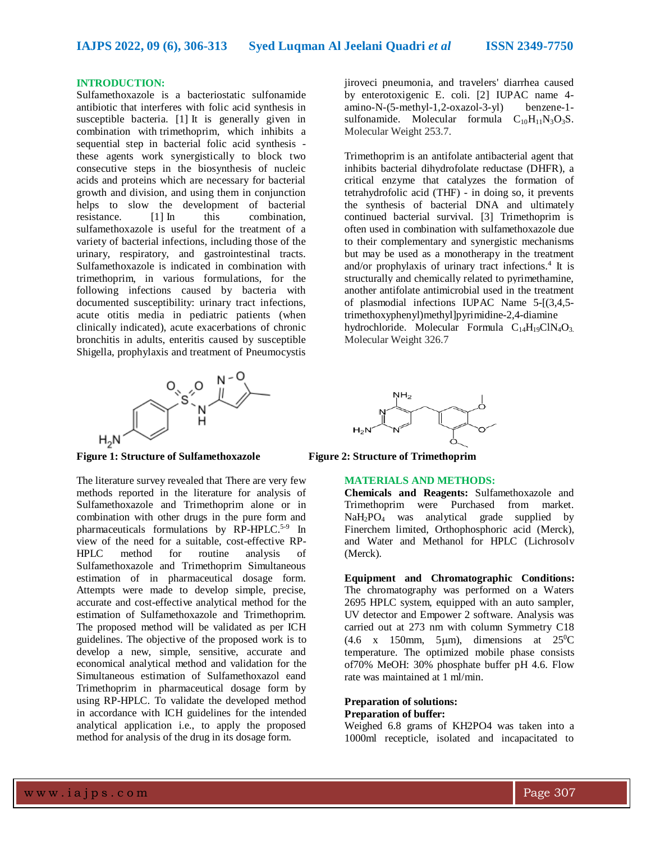## **INTRODUCTION:**

Sulfamethoxazole is a bacteriostatic sulfonamide antibiotic that interferes with folic acid synthesis in susceptible bacteria. [1] It is generally given in combination with [trimethoprim,](https://go.drugbank.com/drugs/DB00440) which inhibits a sequential step in bacterial folic acid synthesis these agents work synergistically to block two consecutive steps in the biosynthesis of nucleic acids and proteins which are necessary for bacterial growth and division, and using them in conjunction helps to slow the development of bacterial resistance. [1] In this combination, sulfamethoxazole is useful for the treatment of a variety of bacterial infections, including those of the urinary, respiratory, and gastrointestinal tracts. Sulfamethoxazole is indicated in combination with trimethoprim, in various formulations, for the following infections caused by bacteria with documented susceptibility: urinary tract infections, acute otitis media in pediatric patients (when clinically indicated), acute exacerbations of chronic bronchitis in adults, enteritis caused by susceptible Shigella, prophylaxis and treatment of Pneumocystis



**Figure 1: Structure of Sulfamethoxazole Figure 2: Structure of Trimethoprim**

The literature survey revealed that There are very few methods reported in the literature for analysis of Sulfamethoxazole and Trimethoprim alone or in combination with other drugs in the pure form and pharmaceuticals formulations by RP-HPLC.<sup>5-9</sup> In view of the need for a suitable, cost-effective RP-HPLC method for routine analysis of Sulfamethoxazole and Trimethoprim Simultaneous estimation of in pharmaceutical dosage form. Attempts were made to develop simple, precise, accurate and cost-effective analytical method for the estimation of Sulfamethoxazole and Trimethoprim. The proposed method will be validated as per ICH guidelines. The objective of the proposed work is to develop a new, simple, sensitive, accurate and economical analytical method and validation for the Simultaneous estimation of Sulfamethoxazol eand Trimethoprim in pharmaceutical dosage form by using RP-HPLC. To validate the developed method in accordance with ICH guidelines for the intended analytical application i.e., to apply the proposed method for analysis of the drug in its dosage form.

jiroveci pneumonia, and travelers' diarrhea caused by enterotoxigenic E. coli. [2] IUPAC name 4 amino-N-(5-methyl-1,2-oxazol-3-yl) benzene-1 sulfonamide. Molecular formula  $C_{10}H_{11}N_3O_3S$ . Molecular Weight 253.7.

Trimethoprim is an antifolate antibacterial agent that inhibits bacterial dihydrofolate reductase (DHFR), a critical enzyme that catalyzes the formation of tetrahydrofolic acid (THF) - in doing so, it prevents the synthesis of bacterial DNA and ultimately continued bacterial survival. [3] Trimethoprim is often used in combination with sulfamethoxazole due to their complementary and synergistic mechanisms but may be used as a monotherapy in the treatment and/or prophylaxis of urinary tract infections.<sup>4</sup> It is structurally and chemically related to pyrimethamine, another antifolate antimicrobial used in the treatment of plasmodial infections IUPAC Name 5-[(3,4,5 trimethoxyphenyl)methyl]pyrimidine-2,4-diamine hydrochloride. Molecular Formula  $C_{14}H_{19}C/N_4O_3$ . Molecular Weight 326.7



#### **MATERIALS AND METHODS:**

**Chemicals and Reagents:** Sulfamethoxazole and Trimethoprim were Purchased from market. NaH2PO<sup>4</sup> was analytical grade supplied by Finerchem limited, Orthophosphoric acid (Merck), and Water and Methanol for HPLC (Lichrosolv (Merck).

**Equipment and Chromatographic Conditions:** The chromatography was performed on a Waters 2695 HPLC system, equipped with an auto sampler, UV detector and Empower 2 software. Analysis was carried out at 273 nm with column Symmetry C18  $(4.6 \text{ x } 150 \text{mm}, 5 \mu \text{m})$ , dimensions at  $25\text{°C}$ temperature. The optimized mobile phase consists of70% MeOH: 30% phosphate buffer pH 4.6. Flow rate was maintained at 1 ml/min.

#### **Preparation of solutions: Preparation of buffer:**

Weighed 6.8 grams of KH2PO4 was taken into a 1000ml recepticle, isolated and incapacitated to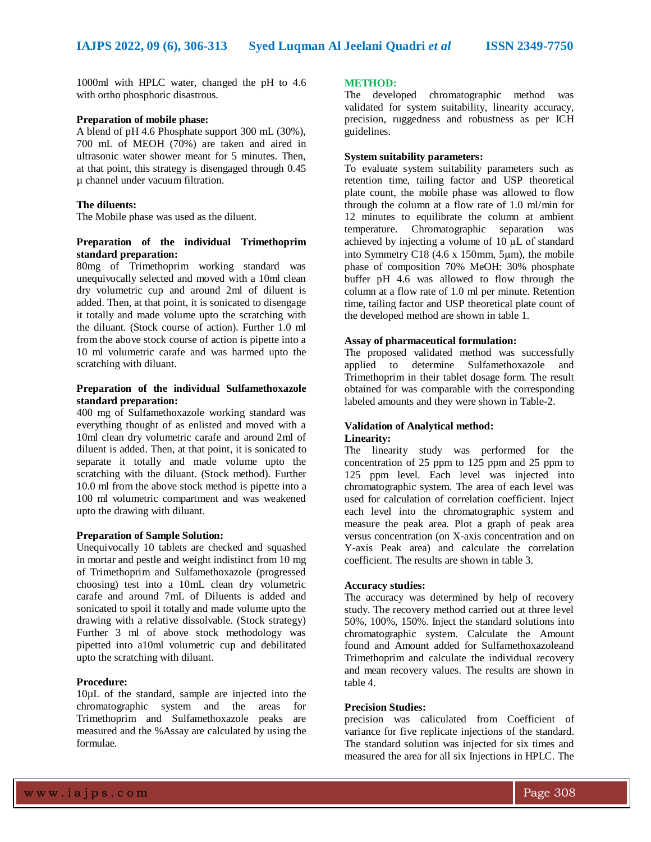1000ml with HPLC water, changed the pH to 4.6 with ortho phosphoric disastrous.

#### **Preparation of mobile phase:**

A blend of pH 4.6 Phosphate support 300 mL (30%), 700 mL of MEOH (70%) are taken and aired in ultrasonic water shower meant for 5 minutes. Then, at that point, this strategy is disengaged through 0.45 µ channel under vacuum filtration.

#### **The diluents:**

The Mobile phase was used as the diluent.

## **Preparation of the individual Trimethoprim standard preparation:**

80mg of Trimethoprim working standard was unequivocally selected and moved with a 10ml clean dry volumetric cup and around 2ml of diluent is added. Then, at that point, it is sonicated to disengage it totally and made volume upto the scratching with the diluant. (Stock course of action). Further 1.0 ml from the above stock course of action is pipette into a 10 ml volumetric carafe and was harmed upto the scratching with diluant.

#### **Preparation of the individual Sulfamethoxazole standard preparation:**

400 mg of Sulfamethoxazole working standard was everything thought of as enlisted and moved with a 10ml clean dry volumetric carafe and around 2ml of diluent is added. Then, at that point, it is sonicated to separate it totally and made volume upto the scratching with the diluant. (Stock method). Further 10.0 ml from the above stock method is pipette into a 100 ml volumetric compartment and was weakened upto the drawing with diluant.

#### **Preparation of Sample Solution:**

Unequivocally 10 tablets are checked and squashed in mortar and pestle and weight indistinct from 10 mg of Trimethoprim and Sulfamethoxazole (progressed choosing) test into a 10mL clean dry volumetric carafe and around 7mL of Diluents is added and sonicated to spoil it totally and made volume upto the drawing with a relative dissolvable. (Stock strategy) Further 3 ml of above stock methodology was pipetted into a10ml volumetric cup and debilitated upto the scratching with diluant.

#### **Procedure:**

10µL of the standard, sample are injected into the chromatographic system and the areas for Trimethoprim and Sulfamethoxazole peaks are measured and the %Assay are calculated by using the formulae.

#### **METHOD:**

The developed chromatographic method was validated for system suitability, linearity accuracy, precision, ruggedness and robustness as per ICH guidelines.

### **System suitability parameters:**

To evaluate system suitability parameters such as retention time, tailing factor and USP theoretical plate count, the mobile phase was allowed to flow through the column at a flow rate of 1.0 ml/min for 12 minutes to equilibrate the column at ambient temperature. Chromatographic separation was achieved by injecting a volume of 10 μL of standard into Symmetry C18  $(4.6 \times 150 \text{mm}, 5 \mu \text{m})$ , the mobile phase of composition 70% MeOH: 30% phosphate buffer pH 4.6 was allowed to flow through the column at a flow rate of 1.0 ml per minute. Retention time, tailing factor and USP theoretical plate count of the developed method are shown in table 1.

#### **Assay of pharmaceutical formulation:**

The proposed validated method was successfully applied to determine Sulfamethoxazole and Trimethoprim in their tablet dosage form. The result obtained for was comparable with the corresponding labeled amounts and they were shown in Table-2.

## **Validation of Analytical method:**

## **Linearity:**

The linearity study was performed for the concentration of 25 ppm to 125 ppm and 25 ppm to 125 ppm level. Each level was injected into chromatographic system. The area of each level was used for calculation of correlation coefficient. Inject each level into the chromatographic system and measure the peak area. Plot a graph of peak area versus concentration (on X-axis concentration and on Y-axis Peak area) and calculate the correlation coefficient. The results are shown in table 3.

#### **Accuracy studies:**

The accuracy was determined by help of recovery study. The recovery method carried out at three level 50%, 100%, 150%. Inject the standard solutions into chromatographic system. Calculate the Amount found and Amount added for Sulfamethoxazoleand Trimethoprim and calculate the individual recovery and mean recovery values. The results are shown in table 4.

#### **Precision Studies:**

precision was caliculated from Coefficient of variance for five replicate injections of the standard. The standard solution was injected for six times and measured the area for all six Injections in HPLC. The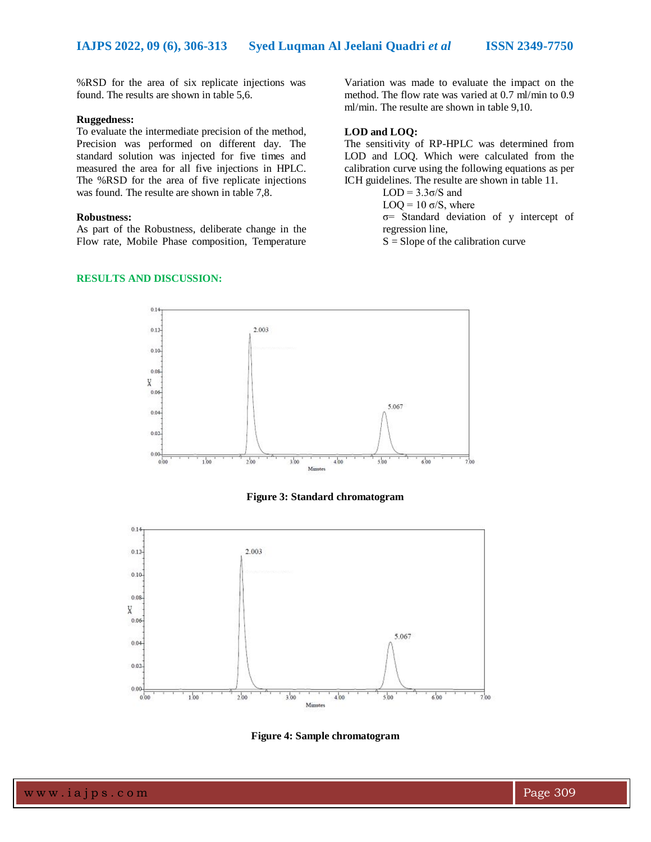%RSD for the area of six replicate injections was found. The results are shown in table 5,6.

#### **Ruggedness:**

To evaluate the intermediate precision of the method, Precision was performed on different day. The standard solution was injected for five times and measured the area for all five injections in HPLC. The %RSD for the area of five replicate injections was found. The resulte are shown in table 7,8.

#### **Robustness:**

As part of the Robustness, deliberate change in the Flow rate, Mobile Phase composition, Temperature

#### **RESULTS AND DISCUSSION:**

Variation was made to evaluate the impact on the method. The flow rate was varied at 0.7 ml/min to 0.9 ml/min. The resulte are shown in table 9,10.

#### **LOD and LOQ:**

The sensitivity of RP-HPLC was determined from LOD and LOQ. Which were calculated from the calibration curve using the following equations as per ICH guidelines. The resulte are shown in table 11.

LOD =  $3.3σ/S$  and

LOQ =  $10 \sigma/S$ , where

σ= Standard deviation of y intercept of regression line,

 $S =$ Slope of the calibration curve



**Figure 3: Standard chromatogram**



**Figure 4: Sample chromatogram**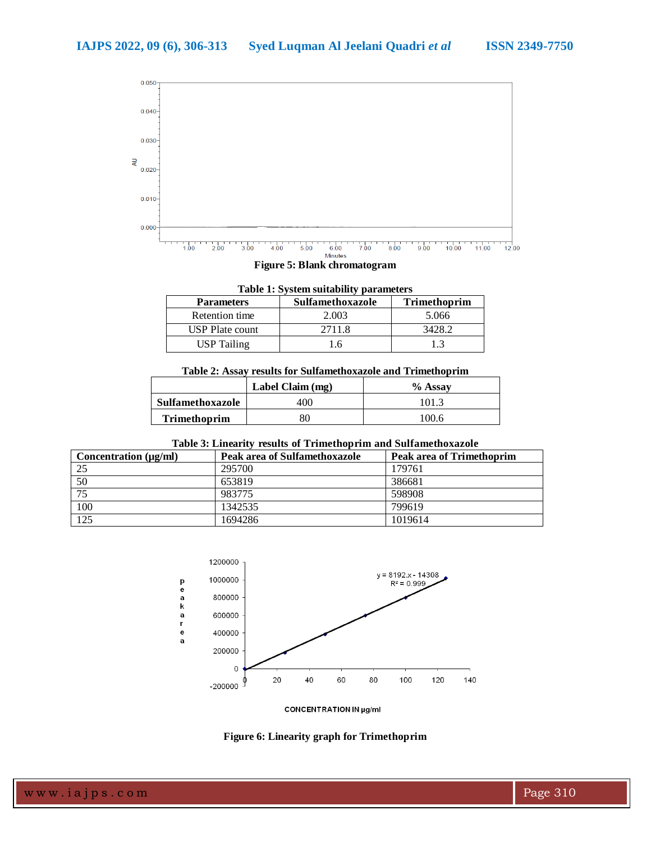

## **Figure 5: Blank chromatogram**

| <b>Table 1: System suitability parameters</b>                |        |        |  |  |  |
|--------------------------------------------------------------|--------|--------|--|--|--|
| <b>Trimethoprim</b><br>Sulfamethoxazole<br><b>Parameters</b> |        |        |  |  |  |
| Retention time                                               | 2.003  | 5.066  |  |  |  |
| <b>USP</b> Plate count                                       | 2711.8 | 3428.2 |  |  |  |
| <b>USP</b> Tailing                                           | 16     | 13     |  |  |  |

## **Table 2: Assay results for Sulfamethoxazole and Trimethoprim**

|                     | Label Claim (mg) | % Assay |
|---------------------|------------------|---------|
| Sulfamethoxazole    | 400              | 101.3   |
| <b>Trimethoprim</b> | 80               | 100.6   |

## **Table 3: Linearity results of Trimethoprim and Sulfamethoxazole**

| Concentration $(\mu g/ml)$ | Peak area of Sulfamethoxazole | Peak area of Trimethoprim |
|----------------------------|-------------------------------|---------------------------|
| 25                         | 295700                        | 179761                    |
| 50                         | 653819                        | 386681                    |
| 75                         | 983775                        | 598908                    |
| 100                        | 1342535                       | 799619                    |
| 125                        | 1694286                       | 1019614                   |



**CONCENTRATION IN µg/ml** 

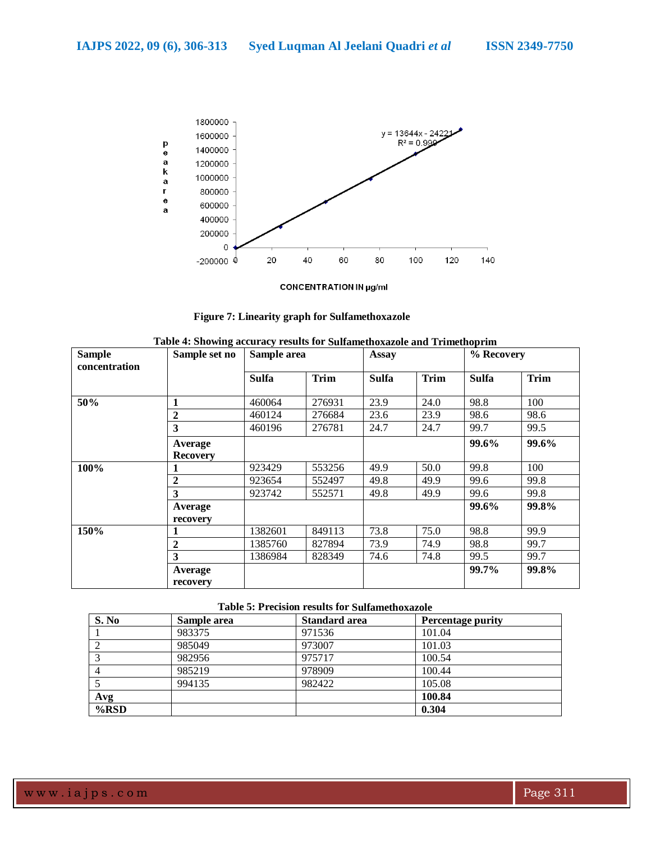

**CONCENTRATION IN µg/ml** 

| <b>Figure 7: Linearity graph for Sulfamethoxazole</b> |  |
|-------------------------------------------------------|--|
|-------------------------------------------------------|--|

| <b>Sample</b><br>concentration | Sample set no              | Sample area  |             | <b>Assay</b> |             | % Recovery   |             |
|--------------------------------|----------------------------|--------------|-------------|--------------|-------------|--------------|-------------|
|                                |                            | <b>Sulfa</b> | <b>Trim</b> | <b>Sulfa</b> | <b>Trim</b> | <b>Sulfa</b> | <b>Trim</b> |
| 50%                            |                            | 460064       | 276931      | 23.9         | 24.0        | 98.8         | 100         |
|                                | $\mathbf 2$                | 460124       | 276684      | 23.6         | 23.9        | 98.6         | 98.6        |
|                                | 3                          | 460196       | 276781      | 24.7         | 24.7        | 99.7         | 99.5        |
|                                | Average<br><b>Recovery</b> |              |             |              |             | 99.6%        | 99.6%       |
| 100%                           |                            | 923429       | 553256      | 49.9         | 50.0        | 99.8         | 100         |
|                                | $\mathbf{2}$               | 923654       | 552497      | 49.8         | 49.9        | 99.6         | 99.8        |
|                                | 3                          | 923742       | 552571      | 49.8         | 49.9        | 99.6         | 99.8        |
|                                | Average                    |              |             |              |             | 99.6%        | 99.8%       |
|                                | recovery                   |              |             |              |             |              |             |
| 150%                           |                            | 1382601      | 849113      | 73.8         | 75.0        | 98.8         | 99.9        |
|                                | $\mathbf 2$                | 1385760      | 827894      | 73.9         | 74.9        | 98.8         | 99.7        |
|                                | 3                          | 1386984      | 828349      | 74.6         | 74.8        | 99.5         | 99.7        |
|                                | Average<br>recovery        |              |             |              |             | 99.7%        | 99.8%       |

#### **Table 5: Precision results for Sulfamethoxazole**

| S. No          | Sample area | <b>Standard area</b> | Percentage purity |
|----------------|-------------|----------------------|-------------------|
|                | 983375      | 971536               | 101.04            |
| 2              | 985049      | 973007               | 101.03            |
| 3              | 982956      | 975717               | 100.54            |
| $\overline{4}$ | 985219      | 978909               | 100.44            |
|                | 994135      | 982422               | 105.08            |
| Avg            |             |                      | 100.84            |
| $%$ RSD        |             |                      | 0.304             |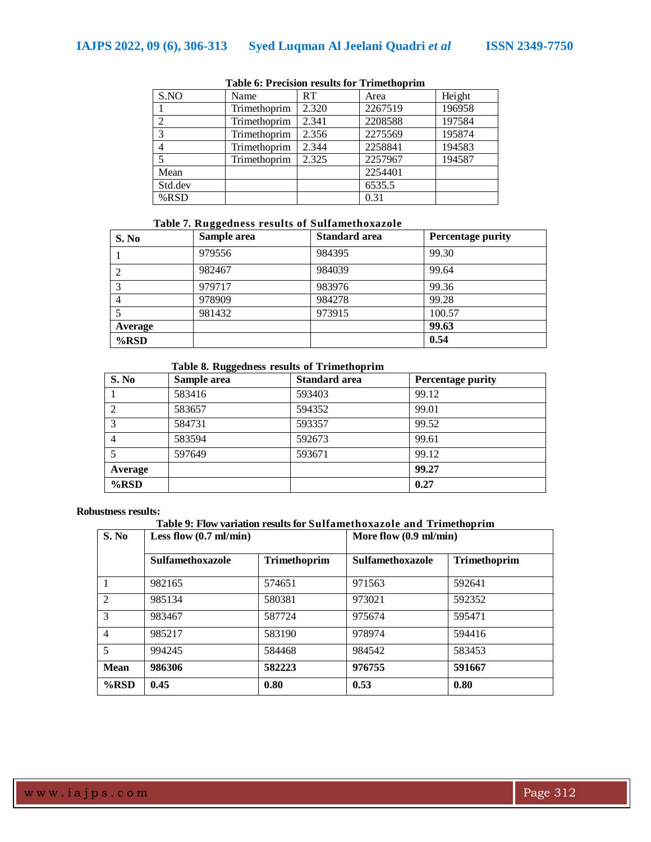| S.NO           | Name         | RT    | Area    | Height |
|----------------|--------------|-------|---------|--------|
|                | Trimethoprim | 2.320 | 2267519 | 196958 |
| $\overline{2}$ | Trimethoprim | 2.341 | 2208588 | 197584 |
| 3              | Trimethoprim | 2.356 | 2275569 | 195874 |
| 4              | Trimethoprim | 2.344 | 2258841 | 194583 |
|                | Trimethoprim | 2.325 | 2257967 | 194587 |
| Mean           |              |       | 2254401 |        |
| Std.dev        |              |       | 6535.5  |        |
| %RSD           |              |       | 0.31    |        |

## **Table 6: Precision results for Trimethoprim**

## **Table 7. Ruggedness results of Sulfamethoxazole**

| S. No   | Sample area | <b>Standard area</b> | <b>Percentage purity</b> |
|---------|-------------|----------------------|--------------------------|
|         | 979556      | 984395               | 99.30                    |
|         | 982467      | 984039               | 99.64                    |
| 3       | 979717      | 983976               | 99.36                    |
| 4       | 978909      | 984278               | 99.28                    |
|         | 981432      | 973915               | 100.57                   |
| Average |             |                      | 99.63                    |
| $%$ RSD |             |                      | 0.54                     |

## **Table 8. Ruggedness results of Trimethoprim**

| S. No          | Sample area | <b>Standard area</b> | <b>Percentage purity</b> |
|----------------|-------------|----------------------|--------------------------|
|                | 583416      | 593403               | 99.12                    |
| $\overline{2}$ | 583657      | 594352               | 99.01                    |
| 3              | 584731      | 593357               | 99.52                    |
| $\overline{4}$ | 583594      | 592673               | 99.61                    |
| 5              | 597649      | 593671               | 99.12                    |
| Average        |             |                      | 99.27                    |
| %RSD           |             |                      | 0.27                     |

#### **Robustness results:**

## **Table 9: Flow variation results for Sulfamethoxazole and Trimethoprim**

| S. No          | Less flow $(0.7 \text{ ml/min})$ |              | More flow $(0.9 \text{ ml/min})$ |              |
|----------------|----------------------------------|--------------|----------------------------------|--------------|
|                | <b>Sulfamethoxazole</b>          | Trimethoprim | <b>Sulfamethoxazole</b>          | Trimethoprim |
|                | 982165                           | 574651       | 971563                           | 592641       |
| 2              | 985134                           | 580381       | 973021                           | 592352       |
| 3              | 983467                           | 587724       | 975674                           | 595471       |
| $\overline{4}$ | 985217                           | 583190       | 978974                           | 594416       |
| 5              | 994245                           | 584468       | 984542                           | 583453       |
| <b>Mean</b>    | 986306                           | 582223       | 976755                           | 591667       |
| $\%$ RSD       | 0.45                             | 0.80         | 0.53                             | 0.80         |